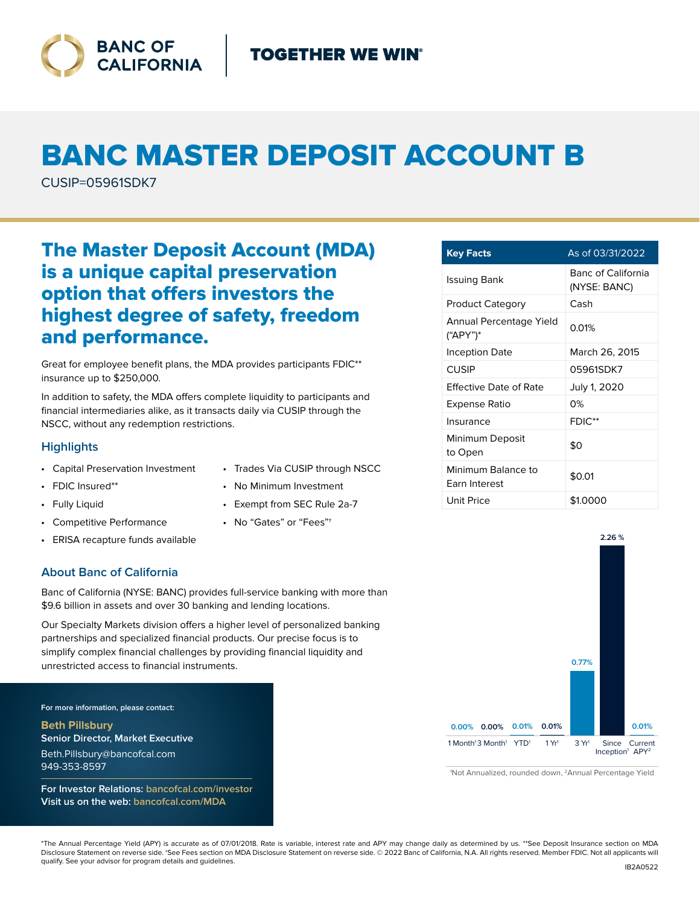

# BANC MASTER DEPOSIT ACCOUNT B

CUSIP=05961SDK7

# The Master Deposit Account (MDA) is a unique capital preservation option that offers investors the highest degree of safety, freedom and performance.

Great for employee benefit plans, the MDA provides participants FDIC\*\* insurance up to \$250,000.

In addition to safety, the MDA offers complete liquidity to participants and financial intermediaries alike, as it transacts daily via CUSIP through the NSCC, without any redemption restrictions.

## **Highlights**

- Capital Preservation Investment
- FDIC Insured\*\*
- Fully Liquid
- Competitive Performance
- ERISA recapture funds available

### **About Banc of California**

Banc of California (NYSE: BANC) provides full-service banking with more than \$9.6 billion in assets and over 30 banking and lending locations.

Our Specialty Markets division offers a higher level of personalized banking partnerships and specialized financial products. Our precise focus is to simplify complex financial challenges by providing financial liquidity and unrestricted access to financial instruments.

**For more information, please contact:**

**Beth Pillsbury Senior Director, Market Executive** Beth.Pillsbury@bancofcal.com 949-353-8597

**For Investor Relations: bancofcal.com/investor Visit us on the web: bancofcal.com/MDA**

- Trades Via CUSIP through NSCC
- No Minimum Investment
- Exempt from SEC Rule 2a-7
- No "Gates" or "Fees"†

| <b>Key Facts</b>                    | As of 03/31/2022                          |
|-------------------------------------|-------------------------------------------|
| Issuing Bank                        | <b>Banc of California</b><br>(NYSE: BANC) |
| <b>Product Category</b>             | Cash                                      |
| Annual Percentage Yield<br>("APY")* | 0.01%                                     |
| Inception Date                      | March 26, 2015                            |
| <b>CUSIP</b>                        | 05961SDK7                                 |
| Effective Date of Rate              | July 1, 2020                              |
| Expense Ratio                       | 0%                                        |
| Insurance                           | FDIC**                                    |
| Minimum Deposit<br>to Open          | \$0                                       |
| Minimum Balance to<br>Earn Interest | \$0.01                                    |
| Unit Price                          | \$1.0000                                  |



1 Not Annualized, rounded down, 2Annual Percentage Yield

\*The Annual Percentage Yield (APY) is accurate as of 07/01/2018. Rate is variable, interest rate and APY may change daily as determined by us. \*\*See Deposit Insurance section on MDA Disclosure Statement on reverse side. †See Fees section on MDA Disclosure Statement on reverse side. © 2022 Banc of California, N.A. All rights reserved. Member FDIC. Not all applicants will qualify. See your advisor for program details and guidelines.